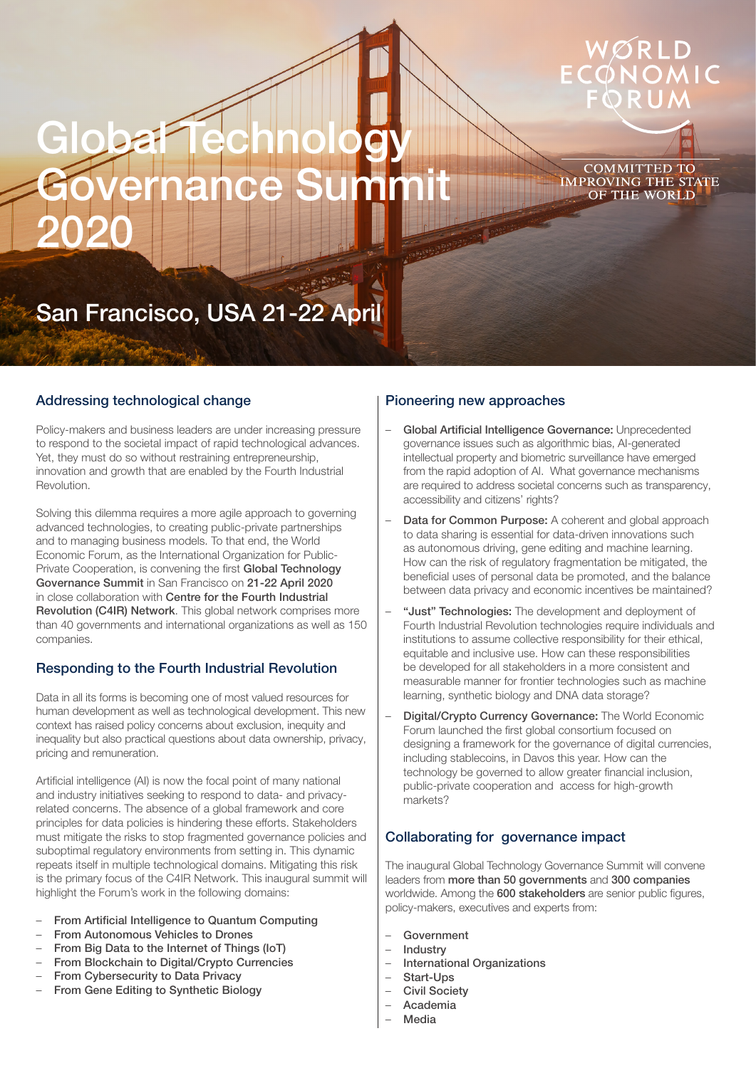# **Global Technology** Governance Summit 2020

COMMITTED TO **IMPROVING THE STATE** OF THE WORLD

## San Francisco, USA 21-22 April

#### Addressing technological change

Policy-makers and business leaders are under increasing pressure to respond to the societal impact of rapid technological advances. Yet, they must do so without restraining entrepreneurship, innovation and growth that are enabled by the Fourth Industrial Revolution.

Solving this dilemma requires a more agile approach to governing advanced technologies, to creating public-private partnerships and to managing business models. To that end, the World Economic Forum, as the International Organization for Public-Private Cooperation, is convening the first Global Technology Governance Summit in San Francisco on 21-22 April 2020 in close collaboration with Centre for the Fourth Industrial Revolution (C4IR) Network. This global network comprises more than 40 governments and international organizations as well as 150 companies.

#### Responding to the Fourth Industrial Revolution

Data in all its forms is becoming one of most valued resources for human development as well as technological development. This new context has raised policy concerns about exclusion, inequity and inequality but also practical questions about data ownership, privacy, pricing and remuneration.

Artificial intelligence (AI) is now the focal point of many national and industry initiatives seeking to respond to data- and privacyrelated concerns. The absence of a global framework and core principles for data policies is hindering these efforts. Stakeholders must mitigate the risks to stop fragmented governance policies and suboptimal regulatory environments from setting in. This dynamic repeats itself in multiple technological domains. Mitigating this risk is the primary focus of the C4IR Network. This inaugural summit will highlight the Forum's work in the following domains:

- From Artificial Intelligence to Quantum Computing
- From Autonomous Vehicles to Drones
- From Big Data to the Internet of Things (IoT)
- From Blockchain to Digital/Crypto Currencies
- From Cybersecurity to Data Privacy
- From Gene Editing to Synthetic Biology

#### Pioneering new approaches

- Global Artificial Intelligence Governance: Unprecedented governance issues such as algorithmic bias, AI-generated intellectual property and biometric surveillance have emerged from the rapid adoption of AI. What governance mechanisms are required to address societal concerns such as transparency, accessibility and citizens' rights?
- Data for Common Purpose: A coherent and global approach to data sharing is essential for data-driven innovations such as autonomous driving, gene editing and machine learning. How can the risk of regulatory fragmentation be mitigated, the beneficial uses of personal data be promoted, and the balance between data privacy and economic incentives be maintained?
- "Just" Technologies: The development and deployment of Fourth Industrial Revolution technologies require individuals and institutions to assume collective responsibility for their ethical, equitable and inclusive use. How can these responsibilities be developed for all stakeholders in a more consistent and measurable manner for frontier technologies such as machine learning, synthetic biology and DNA data storage?
- Digital/Crypto Currency Governance: The World Economic Forum launched the first global consortium focused on designing a framework for the governance of digital currencies. including stablecoins, in Davos this year. How can the technology be governed to allow greater financial inclusion, public-private cooperation and access for high-growth markets?

#### Collaborating for governance impact

The inaugural Global Technology Governance Summit will convene leaders from more than 50 governments and 300 companies worldwide. Among the 600 stakeholders are senior public figures, policy-makers, executives and experts from:

- **Government**
- **Industry**
- International Organizations
- Start-Ups
- Civil Society
- Academia
- **Media**